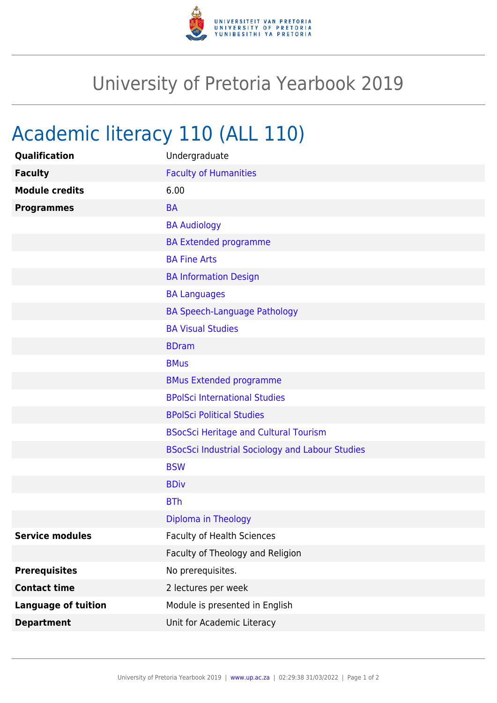

## University of Pretoria Yearbook 2019

## Academic literacy 110 (ALL 110)

| Qualification              | Undergraduate                                          |
|----------------------------|--------------------------------------------------------|
| <b>Faculty</b>             | <b>Faculty of Humanities</b>                           |
| <b>Module credits</b>      | 6.00                                                   |
| <b>Programmes</b>          | <b>BA</b>                                              |
|                            | <b>BA Audiology</b>                                    |
|                            | <b>BA Extended programme</b>                           |
|                            | <b>BA Fine Arts</b>                                    |
|                            | <b>BA Information Design</b>                           |
|                            | <b>BA Languages</b>                                    |
|                            | <b>BA Speech-Language Pathology</b>                    |
|                            | <b>BA Visual Studies</b>                               |
|                            | <b>BDram</b>                                           |
|                            | <b>BMus</b>                                            |
|                            | <b>BMus Extended programme</b>                         |
|                            | <b>BPolSci International Studies</b>                   |
|                            | <b>BPolSci Political Studies</b>                       |
|                            | <b>BSocSci Heritage and Cultural Tourism</b>           |
|                            | <b>BSocSci Industrial Sociology and Labour Studies</b> |
|                            | <b>BSW</b>                                             |
|                            | <b>BDiv</b>                                            |
|                            | <b>BTh</b>                                             |
|                            | Diploma in Theology                                    |
| <b>Service modules</b>     | Faculty of Health Sciences                             |
|                            | Faculty of Theology and Religion                       |
| <b>Prerequisites</b>       | No prerequisites.                                      |
| <b>Contact time</b>        | 2 lectures per week                                    |
| <b>Language of tuition</b> | Module is presented in English                         |
| <b>Department</b>          | Unit for Academic Literacy                             |
|                            |                                                        |